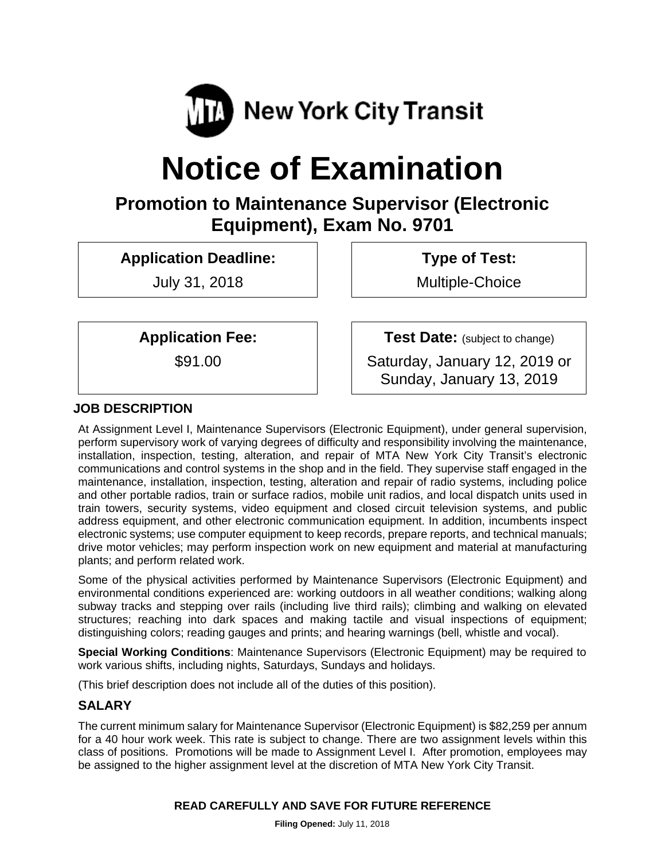

# **Notice of Examination**

# **Promotion to Maintenance Supervisor (Electronic Equipment), Exam No. 9701**

**Application Deadline:** 

July 31, 2018

 **Type of Test:** 

Multiple-Choice

**Application Fee:** 

\$91.00

**Test Date:** (subject to change)

Saturday, January 12, 2019 or Sunday, January 13, 2019

# **JOB DESCRIPTION**

At Assignment Level I, Maintenance Supervisors (Electronic Equipment), under general supervision, perform supervisory work of varying degrees of difficulty and responsibility involving the maintenance, installation, inspection, testing, alteration, and repair of MTA New York City Transit's electronic communications and control systems in the shop and in the field. They supervise staff engaged in the maintenance, installation, inspection, testing, alteration and repair of radio systems, including police and other portable radios, train or surface radios, mobile unit radios, and local dispatch units used in train towers, security systems, video equipment and closed circuit television systems, and public address equipment, and other electronic communication equipment. In addition, incumbents inspect electronic systems; use computer equipment to keep records, prepare reports, and technical manuals; drive motor vehicles; may perform inspection work on new equipment and material at manufacturing plants; and perform related work.

Some of the physical activities performed by Maintenance Supervisors (Electronic Equipment) and environmental conditions experienced are: working outdoors in all weather conditions; walking along subway tracks and stepping over rails (including live third rails); climbing and walking on elevated structures; reaching into dark spaces and making tactile and visual inspections of equipment; distinguishing colors; reading gauges and prints; and hearing warnings (bell, whistle and vocal).

**Special Working Conditions**: Maintenance Supervisors (Electronic Equipment) may be required to work various shifts, including nights, Saturdays, Sundays and holidays.

(This brief description does not include all of the duties of this position).

# **SALARY**

The current minimum salary for Maintenance Supervisor (Electronic Equipment) is \$82,259 per annum for a 40 hour work week. This rate is subject to change. There are two assignment levels within this class of positions. Promotions will be made to Assignment Level I. After promotion, employees may be assigned to the higher assignment level at the discretion of MTA New York City Transit.

#### **READ CAREFULLY AND SAVE FOR FUTURE REFERENCE**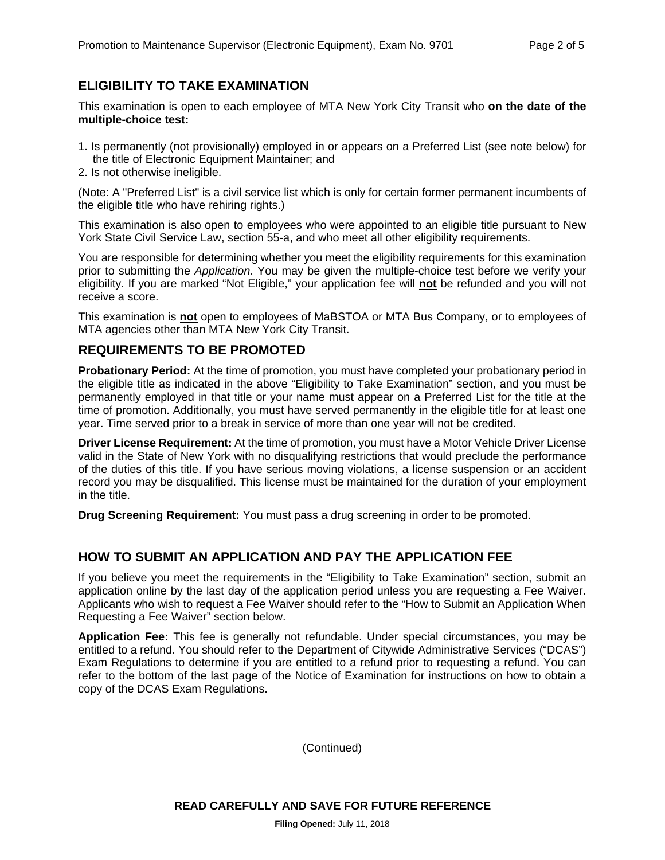# **ELIGIBILITY TO TAKE EXAMINATION**

This examination is open to each employee of MTA New York City Transit who **on the date of the multiple-choice test:** 

- 1. Is permanently (not provisionally) employed in or appears on a Preferred List (see note below) for the title of Electronic Equipment Maintainer; and
- 2. Is not otherwise ineligible.

(Note: A "Preferred List" is a civil service list which is only for certain former permanent incumbents of the eligible title who have rehiring rights.)

This examination is also open to employees who were appointed to an eligible title pursuant to New York State Civil Service Law, section 55-a, and who meet all other eligibility requirements.

You are responsible for determining whether you meet the eligibility requirements for this examination prior to submitting the *Application*. You may be given the multiple-choice test before we verify your eligibility. If you are marked "Not Eligible," your application fee will **not** be refunded and you will not receive a score.

This examination is **not** open to employees of MaBSTOA or MTA Bus Company, or to employees of MTA agencies other than MTA New York City Transit.

#### **REQUIREMENTS TO BE PROMOTED**

**Probationary Period:** At the time of promotion, you must have completed your probationary period in the eligible title as indicated in the above "Eligibility to Take Examination" section, and you must be permanently employed in that title or your name must appear on a Preferred List for the title at the time of promotion. Additionally, you must have served permanently in the eligible title for at least one year. Time served prior to a break in service of more than one year will not be credited.

**Driver License Requirement:** At the time of promotion, you must have a Motor Vehicle Driver License valid in the State of New York with no disqualifying restrictions that would preclude the performance of the duties of this title. If you have serious moving violations, a license suspension or an accident record you may be disqualified. This license must be maintained for the duration of your employment in the title.

**Drug Screening Requirement:** You must pass a drug screening in order to be promoted.

#### **HOW TO SUBMIT AN APPLICATION AND PAY THE APPLICATION FEE**

If you believe you meet the requirements in the "Eligibility to Take Examination" section, submit an application online by the last day of the application period unless you are requesting a Fee Waiver. Applicants who wish to request a Fee Waiver should refer to the "How to Submit an Application When Requesting a Fee Waiver" section below.

**Application Fee:** This fee is generally not refundable. Under special circumstances, you may be entitled to a refund. You should refer to the Department of Citywide Administrative Services ("DCAS") Exam Regulations to determine if you are entitled to a refund prior to requesting a refund. You can refer to the bottom of the last page of the Notice of Examination for instructions on how to obtain a copy of the DCAS Exam Regulations.

(Continued)

**READ CAREFULLY AND SAVE FOR FUTURE REFERENCE**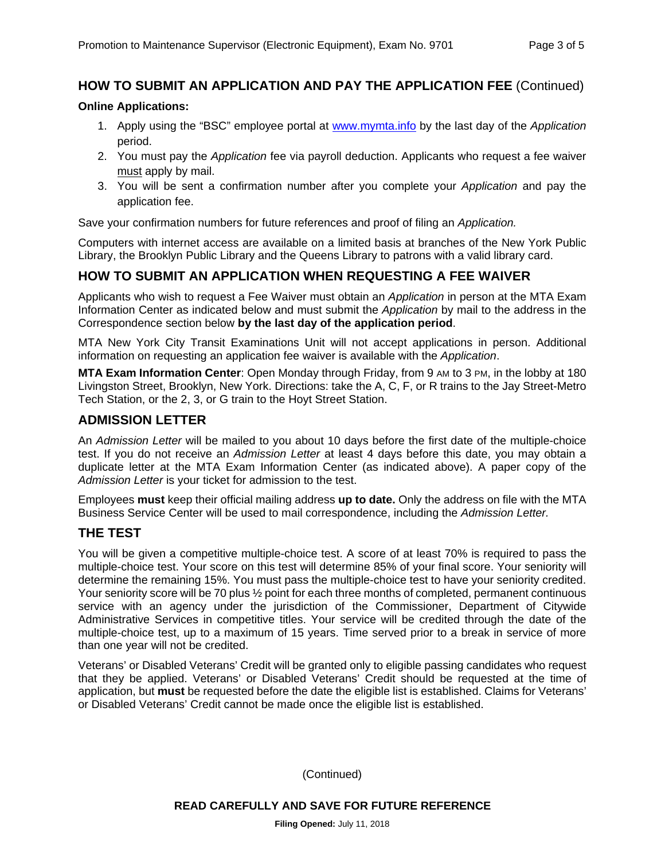# **HOW TO SUBMIT AN APPLICATION AND PAY THE APPLICATION FEE** (Continued)

#### **Online Applications:**

- 1. Apply using the "BSC" employee portal at www.mymta.info by the last day of the *Application*  period.
- 2. You must pay the *Application* fee via payroll deduction. Applicants who request a fee waiver must apply by mail.
- 3. You will be sent a confirmation number after you complete your *Application* and pay the application fee.

Save your confirmation numbers for future references and proof of filing an *Application.*

Computers with internet access are available on a limited basis at branches of the New York Public Library, the Brooklyn Public Library and the Queens Library to patrons with a valid library card.

# **HOW TO SUBMIT AN APPLICATION WHEN REQUESTING A FEE WAIVER**

Applicants who wish to request a Fee Waiver must obtain an *Application* in person at the MTA Exam Information Center as indicated below and must submit the *Application* by mail to the address in the Correspondence section below **by the last day of the application period**.

MTA New York City Transit Examinations Unit will not accept applications in person. Additional information on requesting an application fee waiver is available with the *Application*.

**MTA Exam Information Center**: Open Monday through Friday, from 9 AM to 3 PM, in the lobby at 180 Livingston Street, Brooklyn, New York. Directions: take the A, C, F, or R trains to the Jay Street-Metro Tech Station, or the 2, 3, or G train to the Hoyt Street Station.

#### **ADMISSION LETTER**

An *Admission Letter* will be mailed to you about 10 days before the first date of the multiple-choice test. If you do not receive an *Admission Letter* at least 4 days before this date, you may obtain a duplicate letter at the MTA Exam Information Center (as indicated above). A paper copy of the *Admission Letter* is your ticket for admission to the test.

Employees **must** keep their official mailing address **up to date.** Only the address on file with the MTA Business Service Center will be used to mail correspondence, including the *Admission Letter.*

#### **THE TEST**

You will be given a competitive multiple-choice test. A score of at least 70% is required to pass the multiple-choice test. Your score on this test will determine 85% of your final score. Your seniority will determine the remaining 15%. You must pass the multiple-choice test to have your seniority credited. Your seniority score will be 70 plus  $\frac{1}{2}$  point for each three months of completed, permanent continuous service with an agency under the jurisdiction of the Commissioner, Department of Citywide Administrative Services in competitive titles. Your service will be credited through the date of the multiple-choice test, up to a maximum of 15 years. Time served prior to a break in service of more than one year will not be credited.

Veterans' or Disabled Veterans' Credit will be granted only to eligible passing candidates who request that they be applied. Veterans' or Disabled Veterans' Credit should be requested at the time of application, but **must** be requested before the date the eligible list is established. Claims for Veterans' or Disabled Veterans' Credit cannot be made once the eligible list is established.

(Continued)

**READ CAREFULLY AND SAVE FOR FUTURE REFERENCE**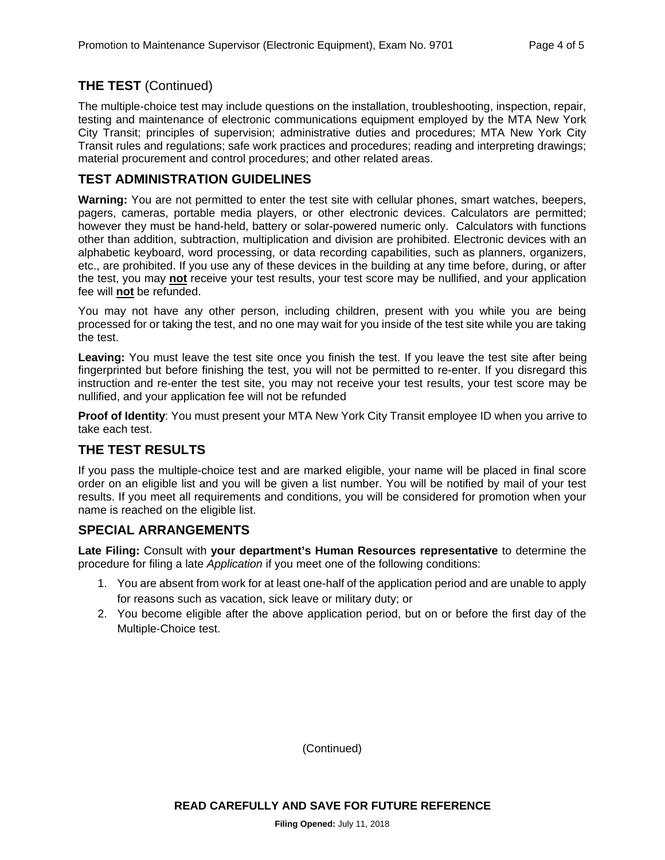# **THE TEST** (Continued)

The multiple-choice test may include questions on the installation, troubleshooting, inspection, repair, testing and maintenance of electronic communications equipment employed by the MTA New York City Transit; principles of supervision; administrative duties and procedures; MTA New York City Transit rules and regulations; safe work practices and procedures; reading and interpreting drawings; material procurement and control procedures; and other related areas.

# **TEST ADMINISTRATION GUIDELINES**

**Warning:** You are not permitted to enter the test site with cellular phones, smart watches, beepers, pagers, cameras, portable media players, or other electronic devices. Calculators are permitted; however they must be hand-held, battery or solar-powered numeric only. Calculators with functions other than addition, subtraction, multiplication and division are prohibited. Electronic devices with an alphabetic keyboard, word processing, or data recording capabilities, such as planners, organizers, etc., are prohibited. If you use any of these devices in the building at any time before, during, or after the test, you may **not** receive your test results, your test score may be nullified, and your application fee will **not** be refunded.

You may not have any other person, including children, present with you while you are being processed for or taking the test, and no one may wait for you inside of the test site while you are taking the test.

**Leaving:** You must leave the test site once you finish the test. If you leave the test site after being fingerprinted but before finishing the test, you will not be permitted to re-enter. If you disregard this instruction and re-enter the test site, you may not receive your test results, your test score may be nullified, and your application fee will not be refunded

**Proof of Identity**: You must present your MTA New York City Transit employee ID when you arrive to take each test.

# **THE TEST RESULTS**

If you pass the multiple-choice test and are marked eligible, your name will be placed in final score order on an eligible list and you will be given a list number. You will be notified by mail of your test results. If you meet all requirements and conditions, you will be considered for promotion when your name is reached on the eligible list.

#### **SPECIAL ARRANGEMENTS**

**Late Filing:** Consult with **your department's Human Resources representative** to determine the procedure for filing a late *Application* if you meet one of the following conditions:

- 1. You are absent from work for at least one-half of the application period and are unable to apply for reasons such as vacation, sick leave or military duty; or
- 2. You become eligible after the above application period, but on or before the first day of the Multiple-Choice test.

(Continued)